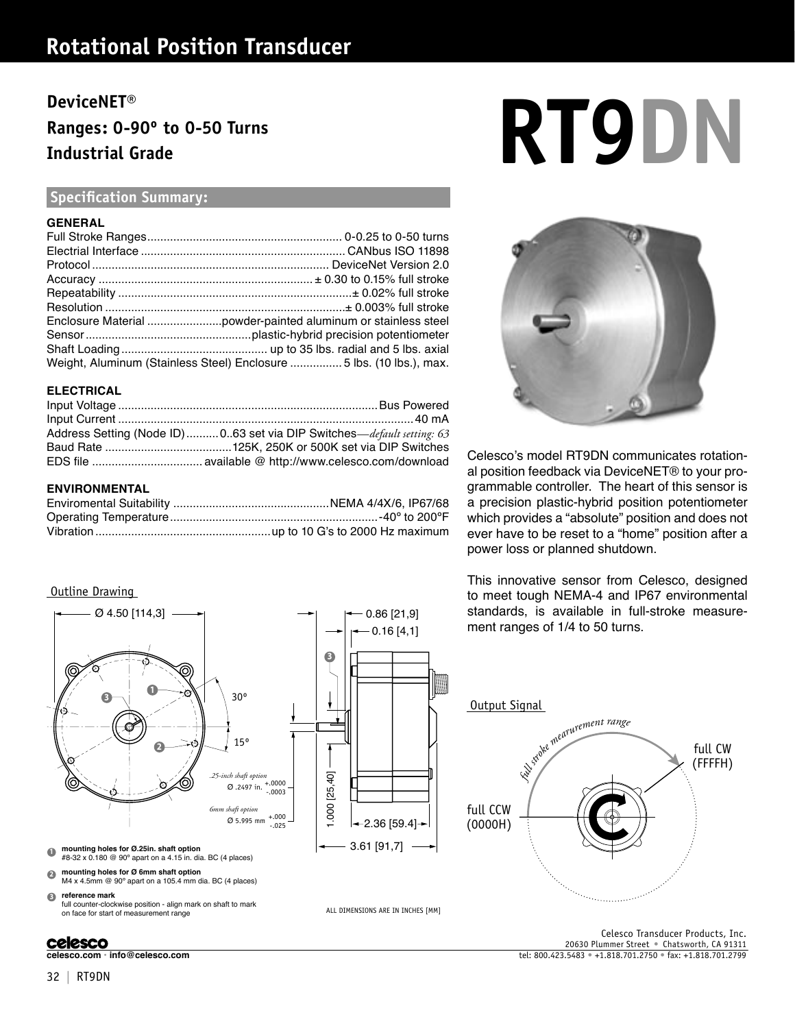## **Rotational Position Transducer**

# **Ranges: 0-90º to 0-50 Turns Industrial Grade**

## **Specification Summary:**

#### **GENERAL**

| Weight, Aluminum (Stainless Steel) Enclosure  5 lbs. (10 lbs.), max. |
|----------------------------------------------------------------------|

#### **ELECTRICAL**

| Address Setting (Node ID)  0.63 set via DIP Switches—default setting: 63 |
|--------------------------------------------------------------------------|
|                                                                          |
|                                                                          |

#### **ENVIRONMENTAL**

## Outline Drawing



## **celesco**

# DeviceNET®<br>Ranges: 0-90° to 0-50 Turns<br>Industrial Grade



Celesco's model RT9DN communicates rotational position feedback via DeviceNET® to your programmable controller. The heart of this sensor is a precision plastic-hybrid position potentiometer which provides a "absolute" position and does not ever have to be reset to a "home" position after a power loss or planned shutdown.

This innovative sensor from Celesco, designed to meet tough NEMA-4 and IP67 environmental standards, is available in full-stroke measurement ranges of 1/4 to 50 turns.



**celesco.com • info@celesco.com** tel: 800.423.5483 • +1.818.701.2750 • fax: +1.818.701.2799 Celesco Transducer Products, Inc. 20630 Plummer Street • Chatsworth, CA 91311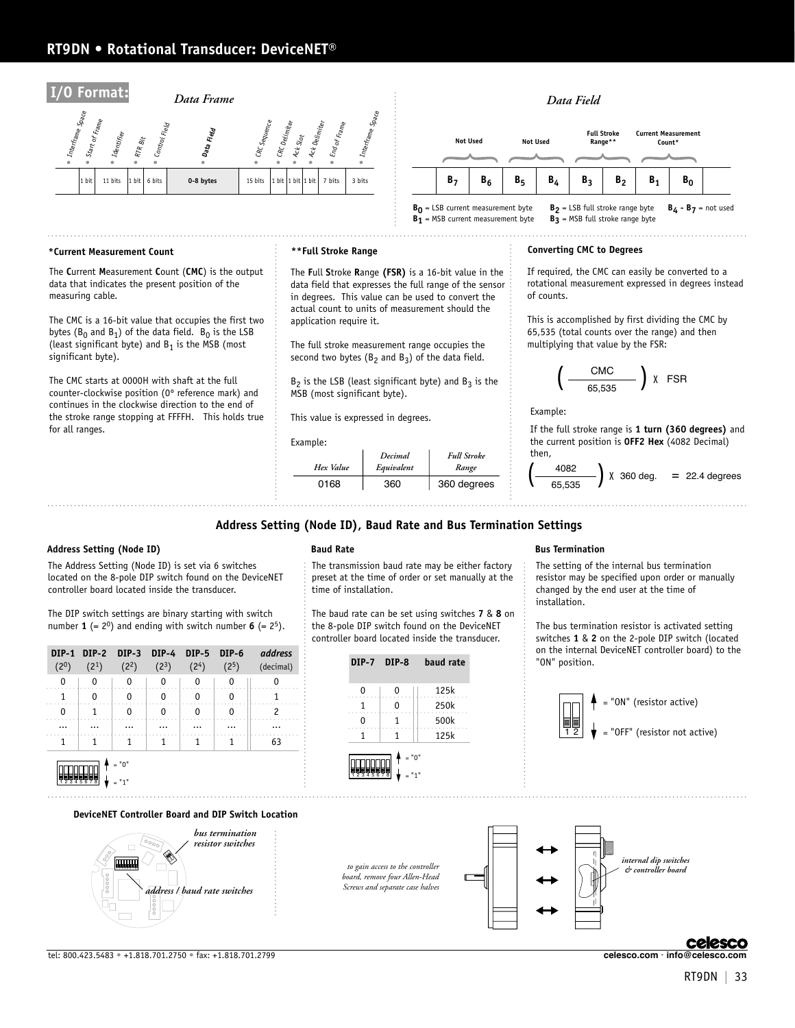## **RT9DN • Rotational Transducer: DeviceNET®**



#### **\*Current Measurement Count \*\*Full Stroke Range**

The **C**urrent **M**easurement **C**ount (**CMC**) is the output data that indicates the present position of the measuring cable.

The CMC is a 16-bit value that occupies the first two bytes ( $B_0$  and  $B_1$ ) of the data field.  $B_0$  is the LSB (least significant byte) and  $B_1$  is the MSB (most significant byte).

The CMC starts at 0000H with shaft at the full counter-clockwise position (0º reference mark) and continues in the clockwise direction to the end of the stroke range stopping at FFFFH. This holds true for all ranges.

The **F**ull **S**troke **R**ange **(FSR)** is a 16-bit value in the data field that expresses the full range of the sensor in degrees. This value can be used to convert the actual count to units of measurement should the application require it.

The full stroke measurement range occupies the second two bytes ( $B_2$  and  $B_3$ ) of the data field.

 $B_2$  is the LSB (least significant byte) and  $B_3$  is the MSB (most significant byte).

This value is expressed in degrees.

#### Example:

| Hex Value | Decimal<br>Equivalent | <b>Full Stroke</b><br>Range |
|-----------|-----------------------|-----------------------------|
| 0168      | 360                   | 360 degrees                 |

#### **Converting CMC to Degrees**

If required, the CMC can easily be converted to a rotational measurement expressed in degrees instead of counts.

This is accomplished by first dividing the CMC by 65,535 (total counts over the range) and then multiplying that value by the FSR:

$$
\left(\begin{array}{c}\text{CMC} \\ \hline\n65,535\n\end{array}\right) \text{ X FSR}
$$

Example:

If the full stroke range is **1 turn (360 degrees)** and the current position is **0FF2 Hex** (4082 Decimal) then,

$$
\left(\frac{4082}{65,535}\right) \times 360 \text{ deg.} = 22.4 \text{ degrees}
$$

#### **Address Setting (Node ID), Baud Rate and Bus Termination Settings**

#### **Address Setting (Node ID) Baud Rate Bus Termination**

The Address Setting (Node ID) is set via 6 switches located on the 8-pole DIP switch found on the DeviceNET controller board located inside the transducer.

The DIP switch settings are binary starting with switch number **1** (=  $2^0$ ) and ending with switch number **6** (=  $2^5$ ).

| $(2^0)$ | (2 <sup>1</sup> ) | (2 <sup>2</sup> ) | $(2^3)$ | (2 <sup>4</sup> ) | DIP-1 DIP-2 DIP-3 DIP-4 DIP-5 DIP-6<br>(2 <sup>5</sup> ) | address<br>(decimal) |
|---------|-------------------|-------------------|---------|-------------------|----------------------------------------------------------|----------------------|
|         |                   | 0                 | 0       | 0                 |                                                          |                      |
|         |                   |                   |         |                   |                                                          |                      |
|         |                   |                   |         |                   |                                                          |                      |
|         |                   |                   |         |                   |                                                          |                      |
|         |                   |                   |         |                   |                                                          | 63                   |
|         |                   | $"$ <sup>n</sup>  |         |                   |                                                          |                      |



#### **DeviceNET Controller Board and DIP Switch Location**



The transmission baud rate may be either factory preset at the time of order or set manually at the time of installation.

The baud rate can be set using switches **7** & **8** on the 8-pole DIP switch found on the DeviceNET controller board located inside the transducer.



*to gain access to the controller board, remove four Allen-Head Screws and separate case halves* 

The setting of the internal bus termination resistor may be specified upon order or manually changed by the end user at the time of installation.

The bus termination resistor is activated setting switches **1** & **2** on the 2-pole DIP switch (located on the internal DeviceNET controller board) to the "ON" position.





## **Celesco**

tel: 800.423.5483 • +1.818.701.2750 • fax: +1.818.701.2799 **celesco.com • info@celesco.com**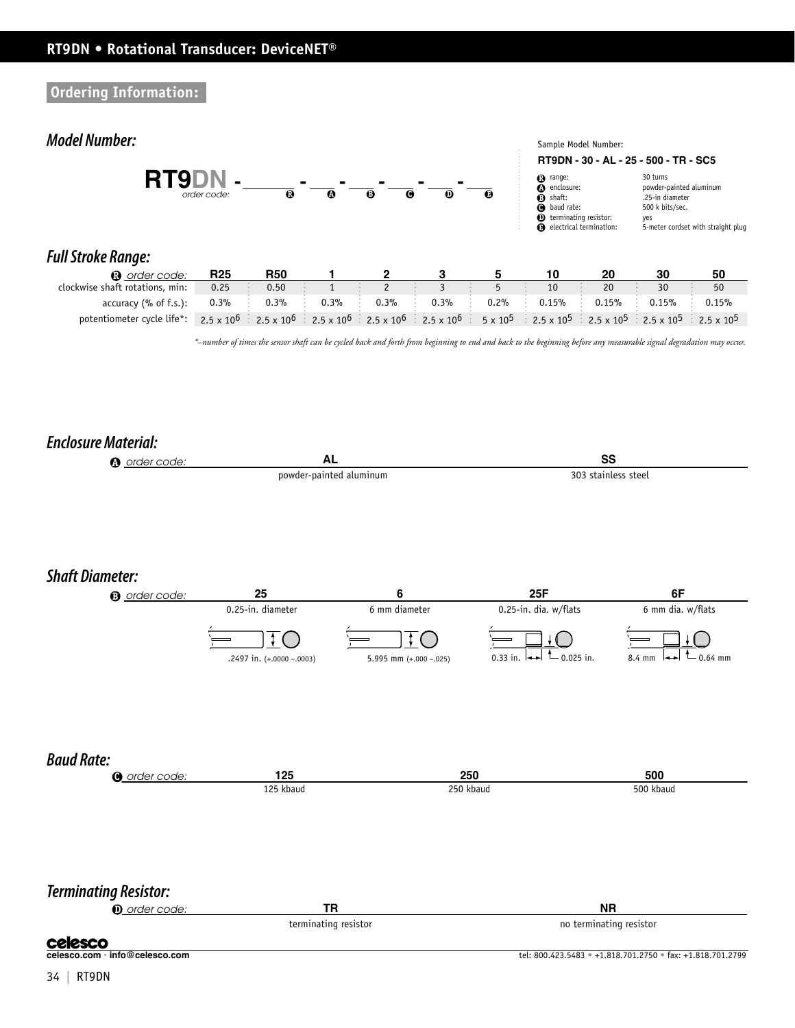**Ordering Information:**

## **Model Number:**



30 turns  $\tt{powder-painted}$  aluminum .25-in diameter 500 k bits/sec. yes<br>5-meter cordset with straight plug

## **Full Stroke Range:**

| n order code:                                                                                                                                                                                                                                                            | <b>R25</b> | <b>R50</b> |         |         |         |           |          |          |          |          |
|--------------------------------------------------------------------------------------------------------------------------------------------------------------------------------------------------------------------------------------------------------------------------|------------|------------|---------|---------|---------|-----------|----------|----------|----------|----------|
| clockwise shaft rotations, min:                                                                                                                                                                                                                                          | 0.25       | 0.50       |         |         |         |           | 10       | 20       |          | 50       |
| accuracy (% of f.s.):                                                                                                                                                                                                                                                    | $0.3\%$    | $0.3\%$    | $0.3\%$ | $0.3\%$ | $0.3\%$ | $0.2\%$ : | $0.15\%$ | $0.15\%$ | $0.15\%$ | $0.15\%$ |
| potentiometer cycle life*: 2.5 x 10 <sup>6</sup> : 2.5 x 10 <sup>6</sup> : 2.5 x 10 <sup>6</sup> : 2.5 x 10 <sup>6</sup> : 2.5 x 10 <sup>6</sup> : 2.5 x 10 <sup>6</sup> : 2.5 x 10 <sup>5</sup> : 2.5 x 10 <sup>5</sup> : 2.5 x 10 <sup>5</sup> : 2.5 x 10 <sup>5</sup> |            |            |         |         |         |           |          |          |          |          |

*\*–number of times the sensor shaft can be cycled back and forth from beginning to end and back to the beginning before any measurable signal degradation may occur.*

## **Enclosure Material:**

| <b>4</b> order code:               | AL                                             |                                         | SS                                                                                  |                                                            |  |  |
|------------------------------------|------------------------------------------------|-----------------------------------------|-------------------------------------------------------------------------------------|------------------------------------------------------------|--|--|
|                                    |                                                | powder-painted aluminum                 | 303 stainless steel                                                                 |                                                            |  |  |
|                                    |                                                |                                         |                                                                                     |                                                            |  |  |
| <b>Shaft Diameter:</b>             |                                                |                                         |                                                                                     |                                                            |  |  |
| <b>3</b> order code:               | 25                                             | 6                                       | 25F                                                                                 | 6F                                                         |  |  |
|                                    | 0.25-in. diameter<br>.2497 in. (+.0000 -.0003) | 6 mm diameter<br>5.995 mm (+.000 -.025) | 0.25-in. dia. w/flats<br>$-$ 0.025 in.<br>0.33 in. $\left  \leftrightarrow \right $ | 6 mm dia. w/flats<br>$0.64$ mm<br>8.4 mm                   |  |  |
| <b>Baud Rate:</b>                  |                                                |                                         |                                                                                     |                                                            |  |  |
| O order code:                      | 125                                            |                                         | 250                                                                                 | 500                                                        |  |  |
|                                    | 125 kbaud                                      |                                         | 250 kbaud                                                                           | 500 kbaud                                                  |  |  |
| <b>Terminating Resistor:</b>       |                                                |                                         |                                                                                     |                                                            |  |  |
| <b><i><u>O</u></i></b> order code: | <b>TR</b>                                      |                                         | <b>NR</b><br>no terminating resistor                                                |                                                            |  |  |
|                                    | terminating resistor                           |                                         |                                                                                     |                                                            |  |  |
| celesco.com · info@celesco.com     |                                                |                                         |                                                                                     | tel: 800.423.5483 · +1.818.701.2750 · fax: +1.818.701.2799 |  |  |
|                                    |                                                |                                         |                                                                                     |                                                            |  |  |